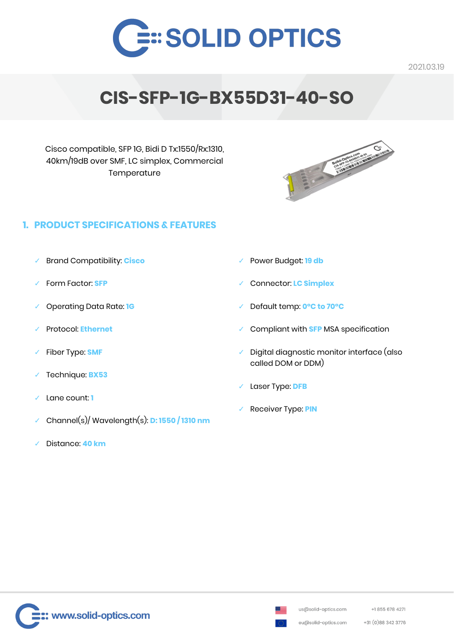

# **CIS-SFP-1G-BX55D31-40-SO**

Cisco compatible, SFP 1G, Bidi D Tx:1550/Rx:1310, 40km/19dB over SMF, LC simplex, Commercial **Temperature** 



# **1. PRODUCT SPECIFICATIONS & FEATURES**

- ✓ Brand Compatibility: **Cisco**
- ✓ Form Factor: **SFP**
- ✓ Operating Data Rate: **1G**
- ✓ Protocol: **Ethernet**
- Fiber Type: **SMF**
- ✓ Technique: **BX53**
- Lane count: **1**
- ✓ Channel(s)/ Wavelength(s): **D: 1550 / 1310 nm**
- ✓ Distance: **40 km**
- ✓ Power Budget: **19 db**
- ✓ Connector: **LC Simplex**
- ✓ Default temp: **0°C to 70°C**
- ✓ Compliant with **SFP** MSA specification
- ✓ Digital diagnostic monitor interface (also called DOM or DDM)
- Laser Type: **DFB**
- ✓ Receiver Type: **PIN**



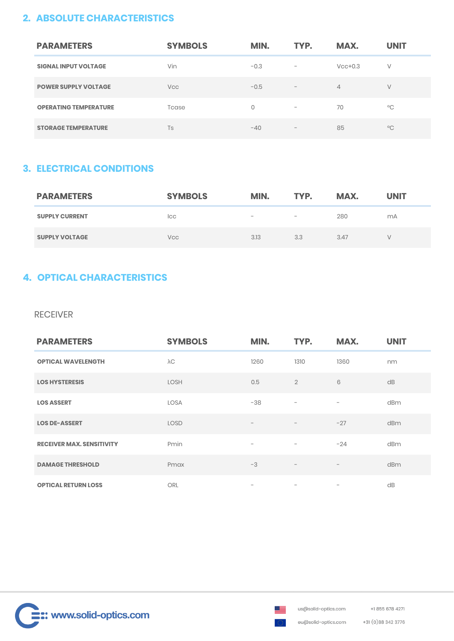## **2. ABSOLUTE CHARACTERISTICS**

| <b>PARAMETERS</b>            | <b>SYMBOLS</b> | MIN.   | TYP.                            | MAX.           | <b>UNIT</b>  |
|------------------------------|----------------|--------|---------------------------------|----------------|--------------|
| <b>SIGNAL INPUT VOLTAGE</b>  | Vin            | $-0.3$ | $\hspace{0.1mm}-\hspace{0.1mm}$ | $Vcc+0.3$      | V            |
| <b>POWER SUPPLY VOLTAGE</b>  | <b>Vcc</b>     | $-0.5$ | $\hspace{0.1mm}-\hspace{0.1mm}$ | $\overline{4}$ | V            |
| <b>OPERATING TEMPERATURE</b> | Tcase          | 0      | $\overline{\phantom{m}}$        | 70             | $^{\circ}$ C |
| <b>STORAGE TEMPERATURE</b>   | Ts             | $-40$  | $\hspace{0.1mm}-\hspace{0.1mm}$ | 85             | $^{\circ}$ C |

## **3. ELECTRICAL CONDITIONS**

| <b>PARAMETERS</b>     | <b>SYMBOLS</b> | MIN.                            | TYP.                            | MAX. | <b>UNIT</b>    |
|-----------------------|----------------|---------------------------------|---------------------------------|------|----------------|
| <b>SUPPLY CURRENT</b> | Icc            | $\hspace{0.1mm}-\hspace{0.1mm}$ | $\hspace{0.1mm}-\hspace{0.1mm}$ | 280  | m <sub>A</sub> |
| <b>SUPPLY VOLTAGE</b> | Vcc            | 3.13                            | 3.3                             | 3.47 |                |

# **4. OPTICAL CHARACTERISTICS**

#### RECEIVER

| <b>PARAMETERS</b>                | <b>SYMBOLS</b> | MIN.                     | TYP.                     | MAX.                     | <b>UNIT</b>     |
|----------------------------------|----------------|--------------------------|--------------------------|--------------------------|-----------------|
| <b>OPTICAL WAVELENGTH</b>        | $\lambda C$    | 1260                     | 1310                     | 1360                     | nm              |
| <b>LOS HYSTERESIS</b>            | LOSH           | 0.5                      | $\overline{2}$           | 6                        | dB              |
| <b>LOS ASSERT</b>                | LOSA           | $-38$                    | $\overline{\phantom{m}}$ | $\qquad \qquad -$        | dBm             |
| <b>LOS DE-ASSERT</b>             | <b>LOSD</b>    | $\overline{\phantom{m}}$ | $\overline{\phantom{a}}$ | $-27$                    | dBm             |
| <b>RECEIVER MAX, SENSITIVITY</b> | Pmin           | $\overline{\phantom{a}}$ | $\overline{\phantom{a}}$ | $-24$                    | d <sub>Bm</sub> |
| <b>DAMAGE THRESHOLD</b>          | Pmax           | $-3$                     | $\overline{\phantom{m}}$ | $\overline{\phantom{m}}$ | dBm             |
| <b>OPTICAL RETURN LOSS</b>       | <b>ORL</b>     | $\qquad \qquad -$        | $\qquad \qquad -$        | $\qquad \qquad -$        | dB              |



+31 (0) 88 342 3776

eu@solid-optics.com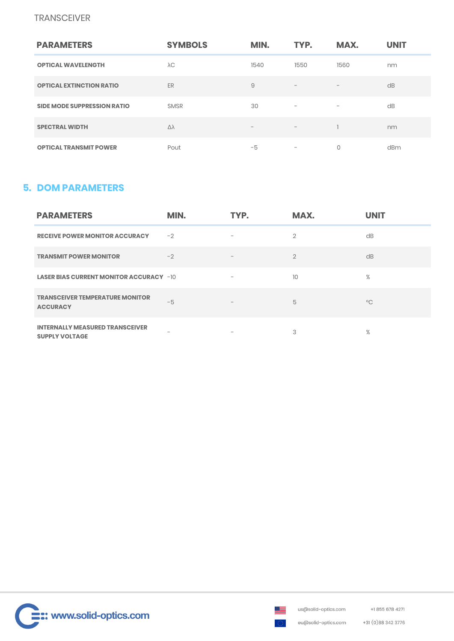### **TRANSCEIVER**

| <b>PARAMETERS</b>                  | <b>SYMBOLS</b> | MIN.              | TYP.                            | MAX.                         | <b>UNIT</b> |
|------------------------------------|----------------|-------------------|---------------------------------|------------------------------|-------------|
| <b>OPTICAL WAVELENGTH</b>          | $\lambda C$    | 1540              | 1550                            | 1560                         | nm          |
| <b>OPTICAL EXTINCTION RATIO</b>    | ER             | 9                 | $\hspace{0.1mm}-\hspace{0.1mm}$ | $-$                          | dB          |
| <b>SIDE MODE SUPPRESSION RATIO</b> | <b>SMSR</b>    | 30                | $\qquad \qquad -$               | $\qquad \qquad \blacksquare$ | dB          |
| <b>SPECTRAL WIDTH</b>              | Δλ             | $\qquad \qquad -$ | $\overline{\phantom{a}}$        |                              | nm          |
| <b>OPTICAL TRANSMIT POWER</b>      | Pout           | -5                | $\qquad \qquad -$               | 0                            | dBm         |

## **5. DOM PARAMETERS**

| <b>PARAMETERS</b>                                               | MIN.                     | TYP.                     | MAX.            | <b>UNIT</b>  |
|-----------------------------------------------------------------|--------------------------|--------------------------|-----------------|--------------|
| <b>RECEIVE POWER MONITOR ACCURACY</b>                           | $-2$                     | $\overline{\phantom{a}}$ | $\overline{2}$  | dB           |
| <b>TRANSMIT POWER MONITOR</b>                                   | $-2$                     | $\overline{\phantom{a}}$ | $\mathfrak{D}$  | dB           |
| <b>LASER BIAS CURRENT MONITOR ACCURACY -10</b>                  |                          | $\qquad \qquad -$        | 10 <sup>1</sup> | $\%$         |
| <b>TRANSCEIVER TEMPERATURE MONITOR</b><br><b>ACCURACY</b>       | $-5$                     | $\qquad \qquad -$        | 5               | $^{\circ}$ C |
| <b>INTERNALLY MEASURED TRANSCEIVER</b><br><b>SUPPLY VOLTAGE</b> | $\overline{\phantom{a}}$ | $\qquad \qquad$          | 3               | $\%$         |



+31 (0) 88 342 3776